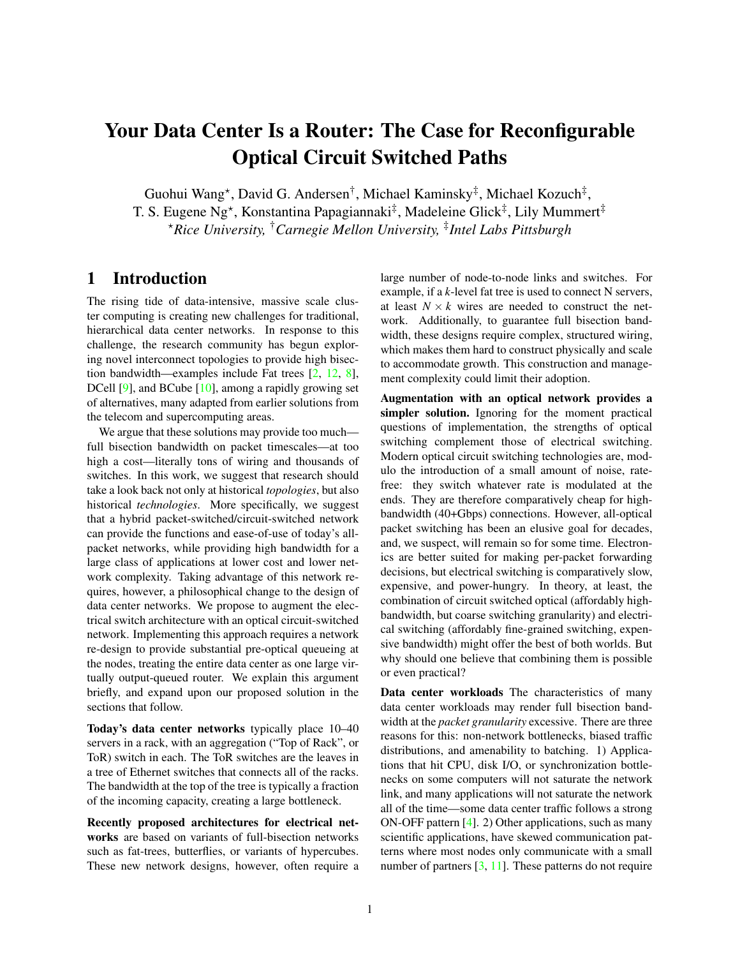# Your Data Center Is a Router: The Case for Reconfigurable Optical Circuit Switched Paths

Guohui Wang\*, David G. Andersen<sup>†</sup>, Michael Kaminsky<sup>‡</sup>, Michael Kozuch<sup>‡</sup>, T. S. Eugene Ng\*, Konstantina Papagiannaki<sup>‡</sup>, Madeleine Glick<sup>‡</sup>, Lily Mummert<sup>‡</sup> ?*Rice University,* †*Carnegie Mellon University,* ‡ *Intel Labs Pittsburgh*

### 1 Introduction

The rising tide of data-intensive, massive scale cluster computing is creating new challenges for traditional, hierarchical data center networks. In response to this challenge, the research community has begun exploring novel interconnect topologies to provide high bisection bandwidth—examples include Fat trees [\[2,](#page-5-0) [12,](#page-5-1) [8\]](#page-5-2), DCell [\[9\]](#page-5-3), and BCube [\[10\]](#page-5-4), among a rapidly growing set of alternatives, many adapted from earlier solutions from the telecom and supercomputing areas.

We argue that these solutions may provide too much full bisection bandwidth on packet timescales—at too high a cost—literally tons of wiring and thousands of switches. In this work, we suggest that research should take a look back not only at historical *topologies*, but also historical *technologies*. More specifically, we suggest that a hybrid packet-switched/circuit-switched network can provide the functions and ease-of-use of today's allpacket networks, while providing high bandwidth for a large class of applications at lower cost and lower network complexity. Taking advantage of this network requires, however, a philosophical change to the design of data center networks. We propose to augment the electrical switch architecture with an optical circuit-switched network. Implementing this approach requires a network re-design to provide substantial pre-optical queueing at the nodes, treating the entire data center as one large virtually output-queued router. We explain this argument briefly, and expand upon our proposed solution in the sections that follow.

Today's data center networks typically place 10–40 servers in a rack, with an aggregation ("Top of Rack", or ToR) switch in each. The ToR switches are the leaves in a tree of Ethernet switches that connects all of the racks. The bandwidth at the top of the tree is typically a fraction of the incoming capacity, creating a large bottleneck.

Recently proposed architectures for electrical networks are based on variants of full-bisection networks such as fat-trees, butterflies, or variants of hypercubes. These new network designs, however, often require a large number of node-to-node links and switches. For example, if a *k*-level fat tree is used to connect N servers, at least  $N \times k$  wires are needed to construct the network. Additionally, to guarantee full bisection bandwidth, these designs require complex, structured wiring, which makes them hard to construct physically and scale to accommodate growth. This construction and management complexity could limit their adoption.

Augmentation with an optical network provides a simpler solution. Ignoring for the moment practical questions of implementation, the strengths of optical switching complement those of electrical switching. Modern optical circuit switching technologies are, modulo the introduction of a small amount of noise, ratefree: they switch whatever rate is modulated at the ends. They are therefore comparatively cheap for highbandwidth (40+Gbps) connections. However, all-optical packet switching has been an elusive goal for decades, and, we suspect, will remain so for some time. Electronics are better suited for making per-packet forwarding decisions, but electrical switching is comparatively slow, expensive, and power-hungry. In theory, at least, the combination of circuit switched optical (affordably highbandwidth, but coarse switching granularity) and electrical switching (affordably fine-grained switching, expensive bandwidth) might offer the best of both worlds. But why should one believe that combining them is possible or even practical?

Data center workloads The characteristics of many data center workloads may render full bisection bandwidth at the *packet granularity* excessive. There are three reasons for this: non-network bottlenecks, biased traffic distributions, and amenability to batching. 1) Applications that hit CPU, disk I/O, or synchronization bottlenecks on some computers will not saturate the network link, and many applications will not saturate the network all of the time—some data center traffic follows a strong ON-OFF pattern [\[4\]](#page-5-5). 2) Other applications, such as many scientific applications, have skewed communication patterns where most nodes only communicate with a small number of partners [\[3,](#page-5-6) [11\]](#page-5-7). These patterns do not require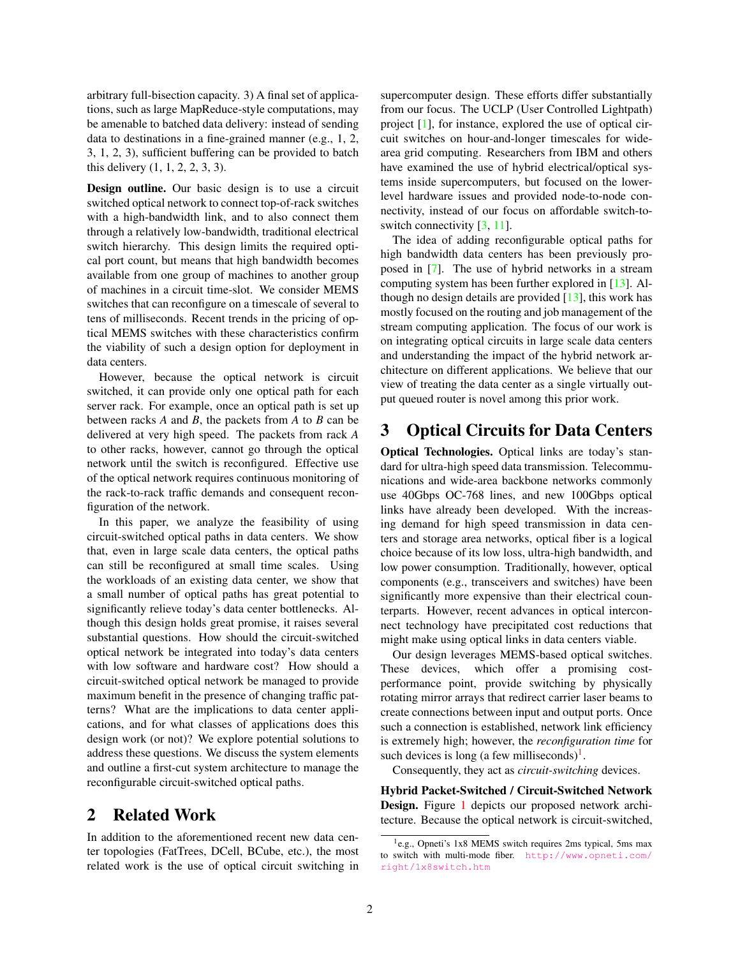arbitrary full-bisection capacity. 3) A final set of applications, such as large MapReduce-style computations, may be amenable to batched data delivery: instead of sending data to destinations in a fine-grained manner (e.g., 1, 2, 3, 1, 2, 3), sufficient buffering can be provided to batch this delivery (1, 1, 2, 2, 3, 3).

Design outline. Our basic design is to use a circuit switched optical network to connect top-of-rack switches with a high-bandwidth link, and to also connect them through a relatively low-bandwidth, traditional electrical switch hierarchy. This design limits the required optical port count, but means that high bandwidth becomes available from one group of machines to another group of machines in a circuit time-slot. We consider MEMS switches that can reconfigure on a timescale of several to tens of milliseconds. Recent trends in the pricing of optical MEMS switches with these characteristics confirm the viability of such a design option for deployment in data centers.

However, because the optical network is circuit switched, it can provide only one optical path for each server rack. For example, once an optical path is set up between racks *A* and *B*, the packets from *A* to *B* can be delivered at very high speed. The packets from rack *A* to other racks, however, cannot go through the optical network until the switch is reconfigured. Effective use of the optical network requires continuous monitoring of the rack-to-rack traffic demands and consequent reconfiguration of the network.

In this paper, we analyze the feasibility of using circuit-switched optical paths in data centers. We show that, even in large scale data centers, the optical paths can still be reconfigured at small time scales. Using the workloads of an existing data center, we show that a small number of optical paths has great potential to significantly relieve today's data center bottlenecks. Although this design holds great promise, it raises several substantial questions. How should the circuit-switched optical network be integrated into today's data centers with low software and hardware cost? How should a circuit-switched optical network be managed to provide maximum benefit in the presence of changing traffic patterns? What are the implications to data center applications, and for what classes of applications does this design work (or not)? We explore potential solutions to address these questions. We discuss the system elements and outline a first-cut system architecture to manage the reconfigurable circuit-switched optical paths.

### 2 Related Work

In addition to the aforementioned recent new data center topologies (FatTrees, DCell, BCube, etc.), the most related work is the use of optical circuit switching in supercomputer design. These efforts differ substantially from our focus. The UCLP (User Controlled Lightpath) project [\[1\]](#page-5-8), for instance, explored the use of optical circuit switches on hour-and-longer timescales for widearea grid computing. Researchers from IBM and others have examined the use of hybrid electrical/optical systems inside supercomputers, but focused on the lowerlevel hardware issues and provided node-to-node connectivity, instead of our focus on affordable switch-toswitch connectivity  $[3, 11]$  $[3, 11]$  $[3, 11]$ .

The idea of adding reconfigurable optical paths for high bandwidth data centers has been previously proposed in [\[7\]](#page-5-9). The use of hybrid networks in a stream computing system has been further explored in [\[13\]](#page-5-10). Although no design details are provided  $[13]$ , this work has mostly focused on the routing and job management of the stream computing application. The focus of our work is on integrating optical circuits in large scale data centers and understanding the impact of the hybrid network architecture on different applications. We believe that our view of treating the data center as a single virtually output queued router is novel among this prior work.

# <span id="page-1-1"></span>3 Optical Circuits for Data Centers

Optical Technologies. Optical links are today's standard for ultra-high speed data transmission. Telecommunications and wide-area backbone networks commonly use 40Gbps OC-768 lines, and new 100Gbps optical links have already been developed. With the increasing demand for high speed transmission in data centers and storage area networks, optical fiber is a logical choice because of its low loss, ultra-high bandwidth, and low power consumption. Traditionally, however, optical components (e.g., transceivers and switches) have been significantly more expensive than their electrical counterparts. However, recent advances in optical interconnect technology have precipitated cost reductions that might make using optical links in data centers viable.

Our design leverages MEMS-based optical switches. These devices, which offer a promising costperformance point, provide switching by physically rotating mirror arrays that redirect carrier laser beams to create connections between input and output ports. Once such a connection is established, network link efficiency is extremely high; however, the *reconfiguration time* for such devices is long (a few milliseconds) $<sup>1</sup>$  $<sup>1</sup>$  $<sup>1</sup>$ .</sup>

Consequently, they act as *circuit-switching* devices.

Hybrid Packet-Switched / Circuit-Switched Network Design. Figure [1](#page-2-0) depicts our proposed network architecture. Because the optical network is circuit-switched,

<span id="page-1-0"></span><sup>&</sup>lt;sup>1</sup>e.g., Opneti's 1x8 MEMS switch requires 2ms typical, 5ms max to switch with multi-mode fiber. [http://www.opneti.com/](http://www.opneti.com/right/1x8switch.htm) [right/1x8switch.htm](http://www.opneti.com/right/1x8switch.htm)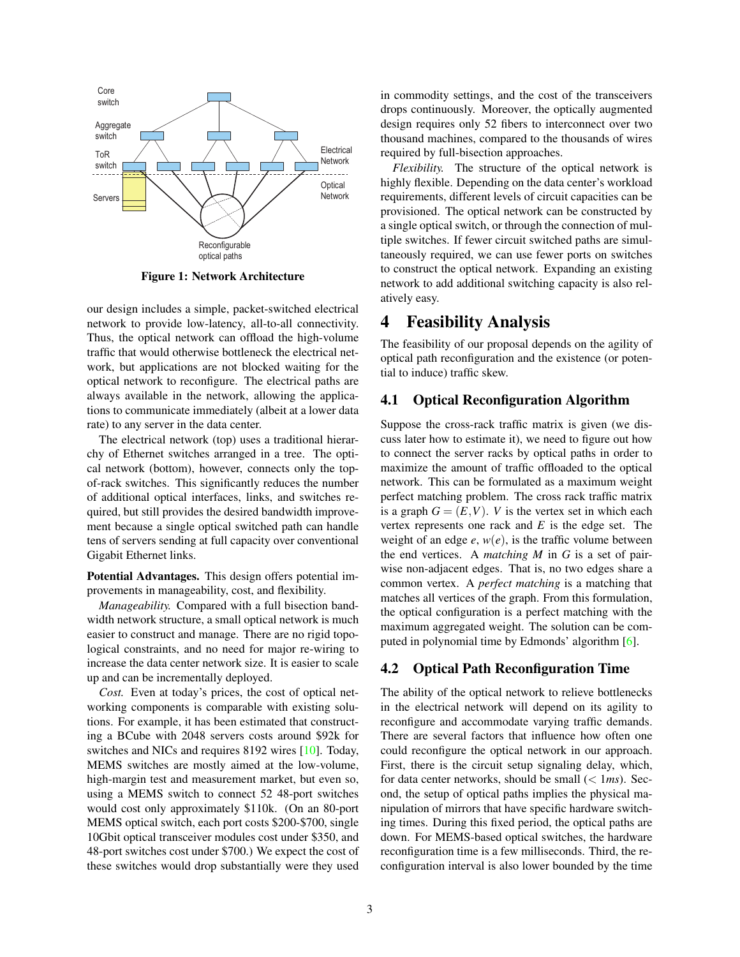

Figure 1: Network Architecture

<span id="page-2-0"></span>our design includes a simple, packet-switched electrical network to provide low-latency, all-to-all connectivity. Thus, the optical network can offload the high-volume traffic that would otherwise bottleneck the electrical network, but applications are not blocked waiting for the optical network to reconfigure. The electrical paths are always available in the network, allowing the applications to communicate immediately (albeit at a lower data rate) to any server in the data center.

The electrical network (top) uses a traditional hierarchy of Ethernet switches arranged in a tree. The optical network (bottom), however, connects only the topof-rack switches. This significantly reduces the number of additional optical interfaces, links, and switches required, but still provides the desired bandwidth improvement because a single optical switched path can handle tens of servers sending at full capacity over conventional Gigabit Ethernet links.

Potential Advantages. This design offers potential improvements in manageability, cost, and flexibility.

*Manageability.* Compared with a full bisection bandwidth network structure, a small optical network is much easier to construct and manage. There are no rigid topological constraints, and no need for major re-wiring to increase the data center network size. It is easier to scale up and can be incrementally deployed.

*Cost.* Even at today's prices, the cost of optical networking components is comparable with existing solutions. For example, it has been estimated that constructing a BCube with 2048 servers costs around \$92k for switches and NICs and requires 8192 wires [\[10\]](#page-5-4). Today, MEMS switches are mostly aimed at the low-volume, high-margin test and measurement market, but even so, using a MEMS switch to connect 52 48-port switches would cost only approximately \$110k. (On an 80-port MEMS optical switch, each port costs \$200-\$700, single 10Gbit optical transceiver modules cost under \$350, and 48-port switches cost under \$700.) We expect the cost of these switches would drop substantially were they used in commodity settings, and the cost of the transceivers drops continuously. Moreover, the optically augmented design requires only 52 fibers to interconnect over two thousand machines, compared to the thousands of wires required by full-bisection approaches.

*Flexibility.* The structure of the optical network is highly flexible. Depending on the data center's workload requirements, different levels of circuit capacities can be provisioned. The optical network can be constructed by a single optical switch, or through the connection of multiple switches. If fewer circuit switched paths are simultaneously required, we can use fewer ports on switches to construct the optical network. Expanding an existing network to add additional switching capacity is also relatively easy.

### 4 Feasibility Analysis

The feasibility of our proposal depends on the agility of optical path reconfiguration and the existence (or potential to induce) traffic skew.

#### <span id="page-2-1"></span>4.1 Optical Reconfiguration Algorithm

Suppose the cross-rack traffic matrix is given (we discuss later how to estimate it), we need to figure out how to connect the server racks by optical paths in order to maximize the amount of traffic offloaded to the optical network. This can be formulated as a maximum weight perfect matching problem. The cross rack traffic matrix is a graph  $G = (E, V)$ . *V* is the vertex set in which each vertex represents one rack and *E* is the edge set. The weight of an edge  $e$ ,  $w(e)$ , is the traffic volume between the end vertices. A *matching M* in *G* is a set of pairwise non-adjacent edges. That is, no two edges share a common vertex. A *perfect matching* is a matching that matches all vertices of the graph. From this formulation, the optical configuration is a perfect matching with the maximum aggregated weight. The solution can be computed in polynomial time by Edmonds' algorithm [\[6\]](#page-5-11).

#### 4.2 Optical Path Reconfiguration Time

The ability of the optical network to relieve bottlenecks in the electrical network will depend on its agility to reconfigure and accommodate varying traffic demands. There are several factors that influence how often one could reconfigure the optical network in our approach. First, there is the circuit setup signaling delay, which, for data center networks, should be small (< 1*ms*). Second, the setup of optical paths implies the physical manipulation of mirrors that have specific hardware switching times. During this fixed period, the optical paths are down. For MEMS-based optical switches, the hardware reconfiguration time is a few milliseconds. Third, the reconfiguration interval is also lower bounded by the time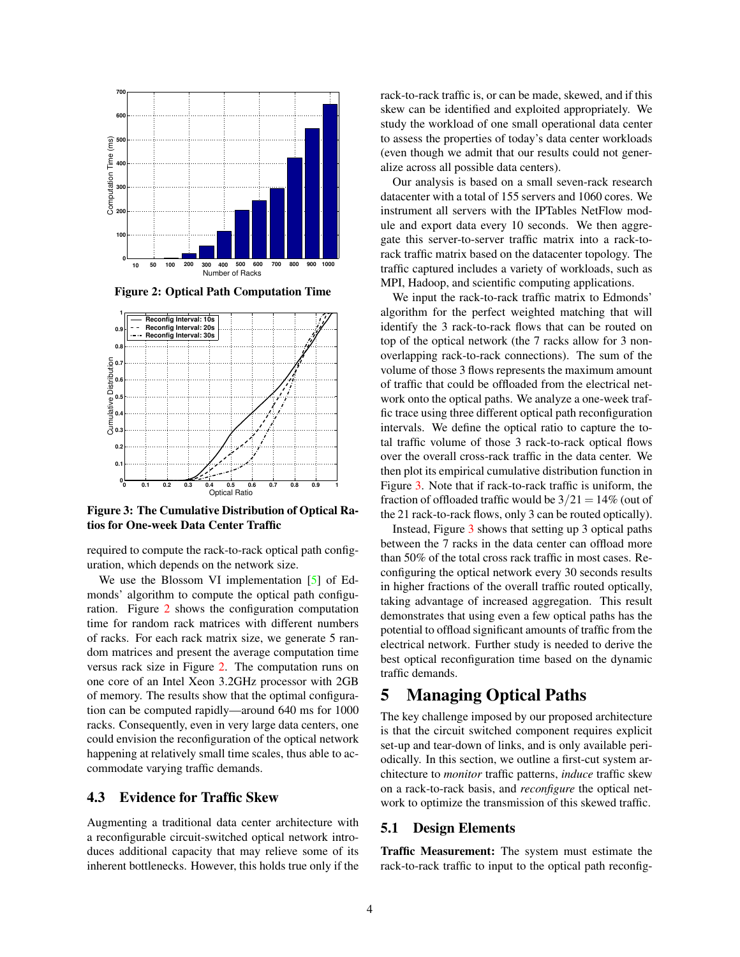

<span id="page-3-0"></span>Figure 2: Optical Path Computation Time



<span id="page-3-1"></span>Figure 3: The Cumulative Distribution of Optical Ratios for One-week Data Center Traffic

required to compute the rack-to-rack optical path configuration, which depends on the network size.

We use the Blossom VI implementation [\[5\]](#page-5-12) of Edmonds' algorithm to compute the optical path configuration. Figure [2](#page-3-0) shows the configuration computation time for random rack matrices with different numbers of racks. For each rack matrix size, we generate 5 random matrices and present the average computation time versus rack size in Figure [2.](#page-3-0) The computation runs on one core of an Intel Xeon 3.2GHz processor with 2GB of memory. The results show that the optimal configuration can be computed rapidly—around 640 ms for 1000 racks. Consequently, even in very large data centers, one could envision the reconfiguration of the optical network happening at relatively small time scales, thus able to accommodate varying traffic demands.

#### 4.3 Evidence for Traffic Skew

Augmenting a traditional data center architecture with a reconfigurable circuit-switched optical network introduces additional capacity that may relieve some of its inherent bottlenecks. However, this holds true only if the rack-to-rack traffic is, or can be made, skewed, and if this skew can be identified and exploited appropriately. We study the workload of one small operational data center to assess the properties of today's data center workloads (even though we admit that our results could not generalize across all possible data centers).

Our analysis is based on a small seven-rack research datacenter with a total of 155 servers and 1060 cores. We instrument all servers with the IPTables NetFlow module and export data every 10 seconds. We then aggregate this server-to-server traffic matrix into a rack-torack traffic matrix based on the datacenter topology. The traffic captured includes a variety of workloads, such as MPI, Hadoop, and scientific computing applications.

We input the rack-to-rack traffic matrix to Edmonds' algorithm for the perfect weighted matching that will identify the 3 rack-to-rack flows that can be routed on top of the optical network (the 7 racks allow for 3 nonoverlapping rack-to-rack connections). The sum of the volume of those 3 flows represents the maximum amount of traffic that could be offloaded from the electrical network onto the optical paths. We analyze a one-week traffic trace using three different optical path reconfiguration intervals. We define the optical ratio to capture the total traffic volume of those 3 rack-to-rack optical flows over the overall cross-rack traffic in the data center. We then plot its empirical cumulative distribution function in Figure [3.](#page-3-1) Note that if rack-to-rack traffic is uniform, the fraction of offloaded traffic would be  $3/21 = 14\%$  (out of the 21 rack-to-rack flows, only 3 can be routed optically).

Instead, Figure [3](#page-3-1) shows that setting up 3 optical paths between the 7 racks in the data center can offload more than 50% of the total cross rack traffic in most cases. Reconfiguring the optical network every 30 seconds results in higher fractions of the overall traffic routed optically, taking advantage of increased aggregation. This result demonstrates that using even a few optical paths has the potential to offload significant amounts of traffic from the electrical network. Further study is needed to derive the best optical reconfiguration time based on the dynamic traffic demands.

## 5 Managing Optical Paths

The key challenge imposed by our proposed architecture is that the circuit switched component requires explicit set-up and tear-down of links, and is only available periodically. In this section, we outline a first-cut system architecture to *monitor* traffic patterns, *induce* traffic skew on a rack-to-rack basis, and *reconfigure* the optical network to optimize the transmission of this skewed traffic.

#### 5.1 Design Elements

Traffic Measurement: The system must estimate the rack-to-rack traffic to input to the optical path reconfig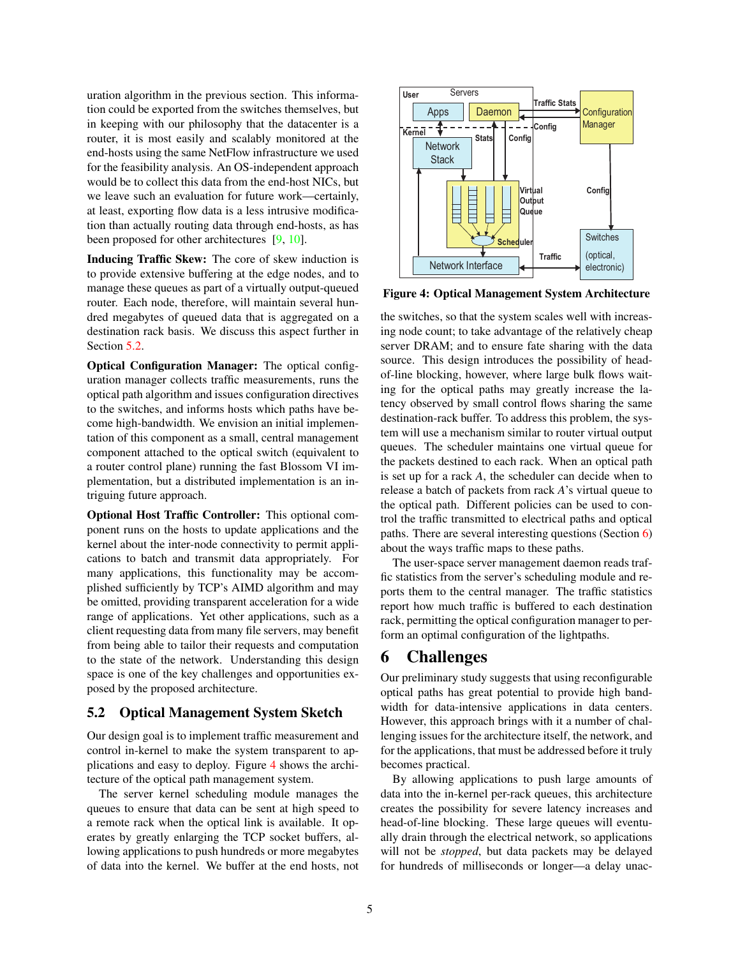uration algorithm in the previous section. This information could be exported from the switches themselves, but in keeping with our philosophy that the datacenter is a router, it is most easily and scalably monitored at the end-hosts using the same NetFlow infrastructure we used for the feasibility analysis. An OS-independent approach would be to collect this data from the end-host NICs, but we leave such an evaluation for future work—certainly, at least, exporting flow data is a less intrusive modification than actually routing data through end-hosts, as has been proposed for other architectures [\[9,](#page-5-3) [10\]](#page-5-4).

Inducing Traffic Skew: The core of skew induction is to provide extensive buffering at the edge nodes, and to manage these queues as part of a virtually output-queued router. Each node, therefore, will maintain several hundred megabytes of queued data that is aggregated on a destination rack basis. We discuss this aspect further in Section [5.2.](#page-4-0)

Optical Configuration Manager: The optical configuration manager collects traffic measurements, runs the optical path algorithm and issues configuration directives to the switches, and informs hosts which paths have become high-bandwidth. We envision an initial implementation of this component as a small, central management component attached to the optical switch (equivalent to a router control plane) running the fast Blossom VI implementation, but a distributed implementation is an intriguing future approach.

Optional Host Traffic Controller: This optional component runs on the hosts to update applications and the kernel about the inter-node connectivity to permit applications to batch and transmit data appropriately. For many applications, this functionality may be accomplished sufficiently by TCP's AIMD algorithm and may be omitted, providing transparent acceleration for a wide range of applications. Yet other applications, such as a client requesting data from many file servers, may benefit from being able to tailor their requests and computation to the state of the network. Understanding this design space is one of the key challenges and opportunities exposed by the proposed architecture.

#### <span id="page-4-0"></span>5.2 Optical Management System Sketch

Our design goal is to implement traffic measurement and control in-kernel to make the system transparent to applications and easy to deploy. Figure [4](#page-4-1) shows the architecture of the optical path management system.

The server kernel scheduling module manages the queues to ensure that data can be sent at high speed to a remote rack when the optical link is available. It operates by greatly enlarging the TCP socket buffers, allowing applications to push hundreds or more megabytes of data into the kernel. We buffer at the end hosts, not



<span id="page-4-1"></span>Figure 4: Optical Management System Architecture

the switches, so that the system scales well with increasing node count; to take advantage of the relatively cheap server DRAM; and to ensure fate sharing with the data source. This design introduces the possibility of headof-line blocking, however, where large bulk flows waiting for the optical paths may greatly increase the latency observed by small control flows sharing the same destination-rack buffer. To address this problem, the system will use a mechanism similar to router virtual output queues. The scheduler maintains one virtual queue for the packets destined to each rack. When an optical path is set up for a rack *A*, the scheduler can decide when to release a batch of packets from rack *A*'s virtual queue to the optical path. Different policies can be used to control the traffic transmitted to electrical paths and optical paths. There are several interesting questions (Section [6\)](#page-4-2) about the ways traffic maps to these paths.

The user-space server management daemon reads traffic statistics from the server's scheduling module and reports them to the central manager. The traffic statistics report how much traffic is buffered to each destination rack, permitting the optical configuration manager to perform an optimal configuration of the lightpaths.

#### <span id="page-4-2"></span>6 Challenges

Our preliminary study suggests that using reconfigurable optical paths has great potential to provide high bandwidth for data-intensive applications in data centers. However, this approach brings with it a number of challenging issues for the architecture itself, the network, and for the applications, that must be addressed before it truly becomes practical.

By allowing applications to push large amounts of data into the in-kernel per-rack queues, this architecture creates the possibility for severe latency increases and head-of-line blocking. These large queues will eventually drain through the electrical network, so applications will not be *stopped*, but data packets may be delayed for hundreds of milliseconds or longer—a delay unac